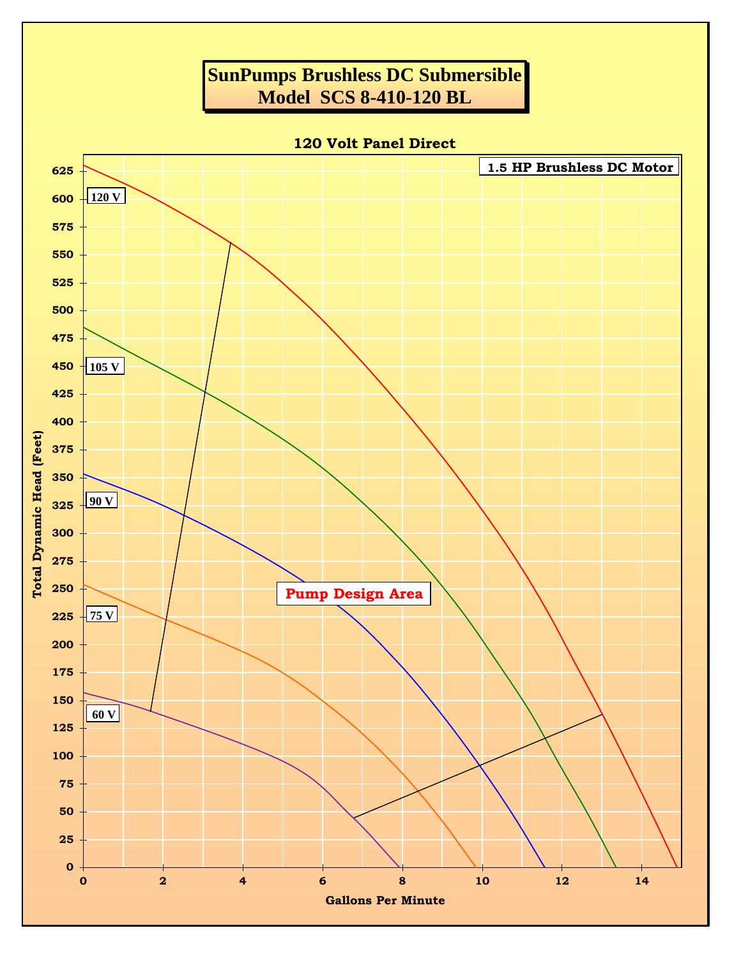